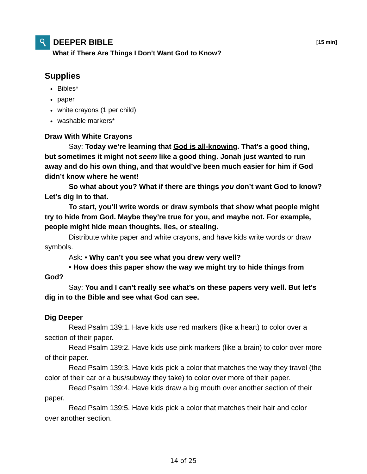## **DEEPER BIBLE [15 min]**

**What if There Are Things I Don't Want God to Know?**

## **Supplies**

- Bibles\*
- paper
- white crayons (1 per child)
- washable markers\*

## **Draw With White Crayons**

 Say: **Today we're learning that God is all-knowing. That's a good thing, but sometimes it might not** *seem* **like a good thing. Jonah just wanted to run away and do his own thing, and that would've been much easier for him if God didn't know where he went!**

 **So what about you? What if there are things** *you* **don't want God to know? Let's dig in to that.**

 **To start, you'll write words or draw symbols that show what people might try to hide from God. Maybe they're true for you, and maybe not. For example, people might hide mean thoughts, lies, or stealing.**

 Distribute white paper and white crayons, and have kids write words or draw symbols.

Ask: **• Why can't you see what you drew very well?**

 **• How does this paper show the way we might try to hide things from God?**

 Say: **You and I can't really see what's on these papers very well. But let's dig in to the Bible and see what God can see.**

## **Dig Deeper**

 Read Psalm 139:1. Have kids use red markers (like a heart) to color over a section of their paper.

 Read Psalm 139:2. Have kids use pink markers (like a brain) to color over more of their paper.

 Read Psalm 139:3. Have kids pick a color that matches the way they travel (the color of their car or a bus/subway they take) to color over more of their paper.

 Read Psalm 139:4. Have kids draw a big mouth over another section of their paper.

 Read Psalm 139:5. Have kids pick a color that matches their hair and color over another section.